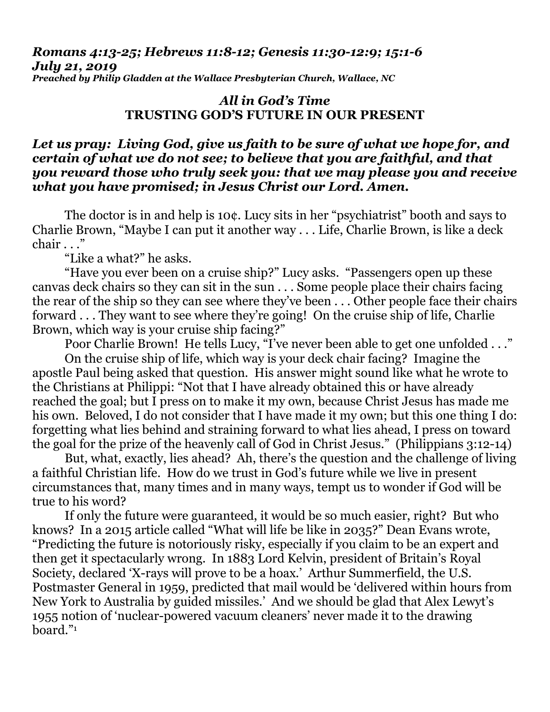## *Romans 4:13-25; Hebrews 11:8-12; Genesis 11:30-12:9; 15:1-6 July 21, 2019 Preached by Philip Gladden at the Wallace Presbyterian Church, Wallace, NC*

## *All in God's Time* **TRUSTING GOD'S FUTURE IN OUR PRESENT**

## *Let us pray: Living God, give us faith to be sure of what we hope for, and certain of what we do not see; to believe that you are faithful, and that you reward those who truly seek you: that we may please you and receive what you have promised; in Jesus Christ our Lord. Amen.*

The doctor is in and help is 10¢. Lucy sits in her "psychiatrist" booth and says to Charlie Brown, "Maybe I can put it another way . . . Life, Charlie Brown, is like a deck chair . . ."

"Like a what?" he asks.

"Have you ever been on a cruise ship?" Lucy asks. "Passengers open up these canvas deck chairs so they can sit in the sun . . . Some people place their chairs facing the rear of the ship so they can see where they've been . . . Other people face their chairs forward . . . They want to see where they're going! On the cruise ship of life, Charlie Brown, which way is your cruise ship facing?"

Poor Charlie Brown! He tells Lucy, "I've never been able to get one unfolded . . ."

On the cruise ship of life, which way is your deck chair facing? Imagine the apostle Paul being asked that question. His answer might sound like what he wrote to the Christians at Philippi: "Not that I have already obtained this or have already reached the goal; but I press on to make it my own, because Christ Jesus has made me his own. Beloved, I do not consider that I have made it my own; but this one thing I do: forgetting what lies behind and straining forward to what lies ahead, I press on toward the goal for the prize of the heavenly call of God in Christ Jesus." (Philippians 3:12-14)

But, what, exactly, lies ahead? Ah, there's the question and the challenge of living a faithful Christian life. How do we trust in God's future while we live in present circumstances that, many times and in many ways, tempt us to wonder if God will be true to his word?

If only the future were guaranteed, it would be so much easier, right? But who knows? In a 2015 article called "What will life be like in 2035?" Dean Evans wrote, "Predicting the future is notoriously risky, especially if you claim to be an expert and then get it spectacularly wrong. In 1883 Lord Kelvin, president of Britain's Royal Society, declared 'X-rays will prove to be a hoax.' Arthur Summerfield, the U.S. Postmaster General in 1959, predicted that mail would be 'delivered within hours from New York to Australia by guided missiles.' And we should be glad that Alex Lewyt's 1955 notion of 'nuclear-powered vacuum cleaners' never made it to the drawing board."1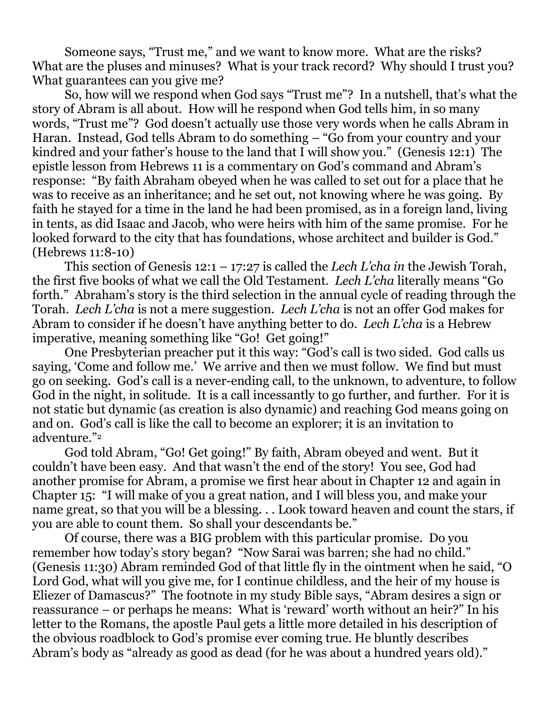Someone says, "Trust me," and we want to know more. What are the risks? What are the pluses and minuses? What is your track record? Why should I trust you? What guarantees can you give me?

So, how will we respond when God says "Trust me"? In a nutshell, that's what the story of Abram is all about. How will he respond when God tells him, in so many words, "Trust me"? God doesn't actually use those very words when he calls Abram in Haran. Instead, God tells Abram to do something – "Go from your country and your kindred and your father's house to the land that I will show you." (Genesis 12:1) The epistle lesson from Hebrews 11 is a commentary on God's command and Abram's response: "By faith Abraham obeyed when he was called to set out for a place that he was to receive as an inheritance; and he set out, not knowing where he was going. By faith he stayed for a time in the land he had been promised, as in a foreign land, living in tents, as did Isaac and Jacob, who were heirs with him of the same promise. For he looked forward to the city that has foundations, whose architect and builder is God." (Hebrews 11:8-10)

This section of Genesis 12:1 – 17:27 is called the *Lech L'cha in* the Jewish Torah, the first five books of what we call the Old Testament. *Lech L'cha* literally means "Go forth." Abraham's story is the third selection in the annual cycle of reading through the Torah. *Lech L'cha* is not a mere suggestion. *Lech L'cha* is not an offer God makes for Abram to consider if he doesn't have anything better to do. *Lech L'cha* is a Hebrew imperative, meaning something like "Go! Get going!"

One Presbyterian preacher put it this way: "God's call is two sided. God calls us saying, 'Come and follow me.' We arrive and then we must follow. We find but must go on seeking. God's call is a never-ending call, to the unknown, to adventure, to follow God in the night, in solitude. It is a call incessantly to go further, and further. For it is not static but dynamic (as creation is also dynamic) and reaching God means going on and on. God's call is like the call to become an explorer; it is an invitation to adventure."<sup>2</sup>

God told Abram, "Go! Get going!" By faith, Abram obeyed and went. But it couldn't have been easy. And that wasn't the end of the story! You see, God had another promise for Abram, a promise we first hear about in Chapter 12 and again in Chapter 15: "I will make of you a great nation, and I will bless you, and make your name great, so that you will be a blessing. . . Look toward heaven and count the stars, if you are able to count them. So shall your descendants be."

Of course, there was a BIG problem with this particular promise. Do you remember how today's story began? "Now Sarai was barren; she had no child." (Genesis 11:30) Abram reminded God of that little fly in the ointment when he said, "O Lord God, what will you give me, for I continue childless, and the heir of my house is Eliezer of Damascus?" The footnote in my study Bible says, "Abram desires a sign or reassurance – or perhaps he means: What is 'reward' worth without an heir?" In his letter to the Romans, the apostle Paul gets a little more detailed in his description of the obvious roadblock to God's promise ever coming true. He bluntly describes Abram's body as "already as good as dead (for he was about a hundred years old)."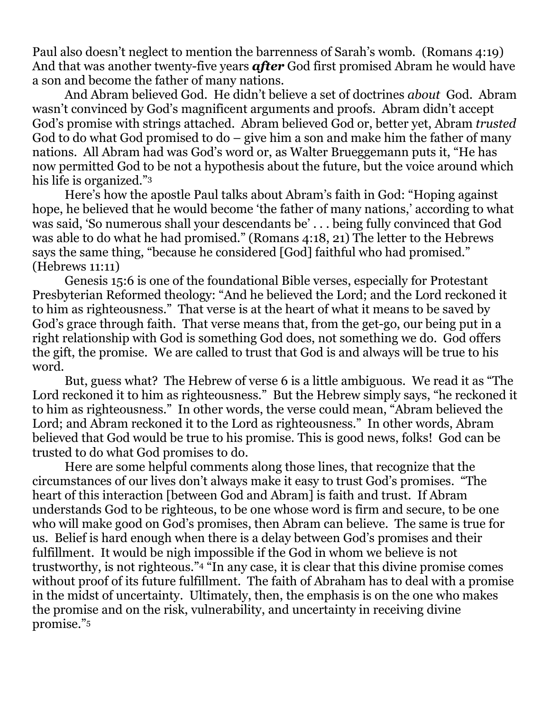Paul also doesn't neglect to mention the barrenness of Sarah's womb. (Romans 4:19) And that was another twenty-five years *after* God first promised Abram he would have a son and become the father of many nations.

And Abram believed God. He didn't believe a set of doctrines *about* God. Abram wasn't convinced by God's magnificent arguments and proofs. Abram didn't accept God's promise with strings attached. Abram believed God or, better yet, Abram *trusted* God to do what God promised to do – give him a son and make him the father of many nations. All Abram had was God's word or, as Walter Brueggemann puts it, "He has now permitted God to be not a hypothesis about the future, but the voice around which his life is organized."<sup>3</sup>

Here's how the apostle Paul talks about Abram's faith in God: "Hoping against hope, he believed that he would become 'the father of many nations,' according to what was said, 'So numerous shall your descendants be' . . . being fully convinced that God was able to do what he had promised." (Romans 4:18, 21) The letter to the Hebrews says the same thing, "because he considered [God] faithful who had promised." (Hebrews 11:11)

Genesis 15:6 is one of the foundational Bible verses, especially for Protestant Presbyterian Reformed theology: "And he believed the Lord; and the Lord reckoned it to him as righteousness." That verse is at the heart of what it means to be saved by God's grace through faith. That verse means that, from the get-go, our being put in a right relationship with God is something God does, not something we do. God offers the gift, the promise. We are called to trust that God is and always will be true to his word.

But, guess what? The Hebrew of verse 6 is a little ambiguous. We read it as "The Lord reckoned it to him as righteousness." But the Hebrew simply says, "he reckoned it to him as righteousness." In other words, the verse could mean, "Abram believed the Lord; and Abram reckoned it to the Lord as righteousness." In other words, Abram believed that God would be true to his promise. This is good news, folks! God can be trusted to do what God promises to do.

Here are some helpful comments along those lines, that recognize that the circumstances of our lives don't always make it easy to trust God's promises. "The heart of this interaction [between God and Abram] is faith and trust. If Abram understands God to be righteous, to be one whose word is firm and secure, to be one who will make good on God's promises, then Abram can believe. The same is true for us. Belief is hard enough when there is a delay between God's promises and their fulfillment. It would be nigh impossible if the God in whom we believe is not trustworthy, is not righteous."<sup>4</sup> "In any case, it is clear that this divine promise comes without proof of its future fulfillment. The faith of Abraham has to deal with a promise in the midst of uncertainty. Ultimately, then, the emphasis is on the one who makes the promise and on the risk, vulnerability, and uncertainty in receiving divine promise."5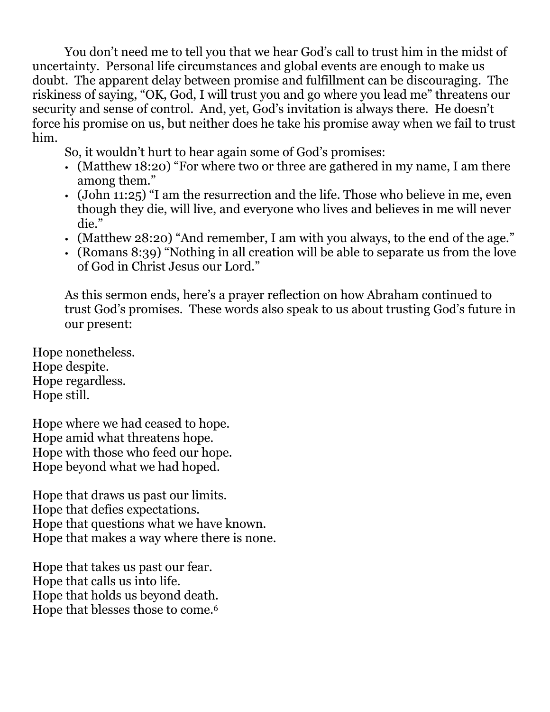You don't need me to tell you that we hear God's call to trust him in the midst of uncertainty. Personal life circumstances and global events are enough to make us doubt. The apparent delay between promise and fulfillment can be discouraging. The riskiness of saying, "OK, God, I will trust you and go where you lead me" threatens our security and sense of control. And, yet, God's invitation is always there. He doesn't force his promise on us, but neither does he take his promise away when we fail to trust him.

So, it wouldn't hurt to hear again some of God's promises:

- (Matthew 18:20) "For where two or three are gathered in my name, I am there among them."
- (John 11:25) "I am the resurrection and the life. Those who believe in me, even though they die, will live, and everyone who lives and believes in me will never die."
- (Matthew 28:20) "And remember, I am with you always, to the end of the age."
- (Romans 8:39) "Nothing in all creation will be able to separate us from the love of God in Christ Jesus our Lord."

As this sermon ends, here's a prayer reflection on how Abraham continued to trust God's promises. These words also speak to us about trusting God's future in our present:

Hope nonetheless. Hope despite. Hope regardless. Hope still.

Hope where we had ceased to hope. Hope amid what threatens hope. Hope with those who feed our hope. Hope beyond what we had hoped.

Hope that draws us past our limits. Hope that defies expectations. Hope that questions what we have known. Hope that makes a way where there is none.

Hope that takes us past our fear. Hope that calls us into life. Hope that holds us beyond death. Hope that blesses those to come.<sup>6</sup>